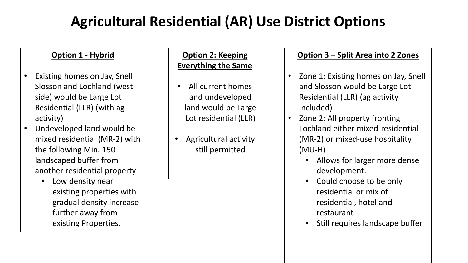# **Agricultural Residential (AR) Use District Options**

## **Option 1 - Hybrid**

- Existing homes on Jay, Snell Slosson and Lochland (west side) would be Large Lot Residential (LLR) (with ag activity)
- Undeveloped land would be mixed residential (MR-2) with the following Min. 150 landscaped buffer from another residential property
	- Low density near existing properties with gradual density increase further away from existing Properties.

## **Option 2: Keeping Everything the Same**

- All current homes and undeveloped land would be Large Lot residential (LLR)
- Agricultural activity still permitted

## **Option 3 – Split Area into 2 Zones**

- Zone 1: Existing homes on Jay, Snell and Slosson would be Large Lot Residential (LLR) (ag activity included)
- Zone 2: All property fronting Lochland either mixed-residential (MR-2) or mixed-use hospitality (MU-H)
	- Allows for larger more dense development.
	- Could choose to be only residential or mix of residential, hotel and restaurant
	- Still requires landscape buffer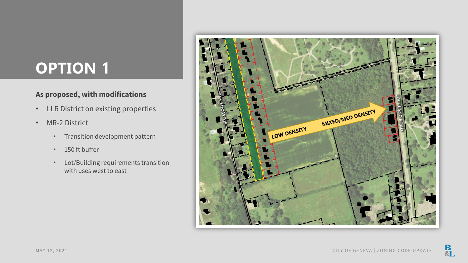# **OPTION 1**

### **As proposed, with modifications**

- LLR District on existing properties
- MR-2 District
	- Transition development pattern
	- 150 ft buffer
	- Lot/Building requirements transition with uses west to east

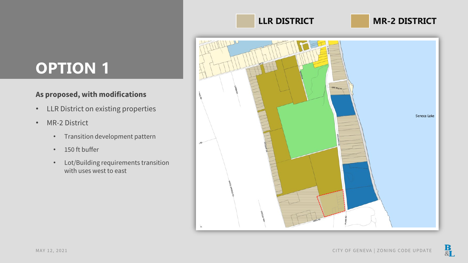# **OPTION 1**

## **As proposed, with modifications**

- LLR District on existing properties
- MR-2 District
	- Transition development pattern
	- 150 ft buffer
	- Lot/Building requirements transition with uses west to east

# **LLR DISTRICT MR-2 DISTRICT**

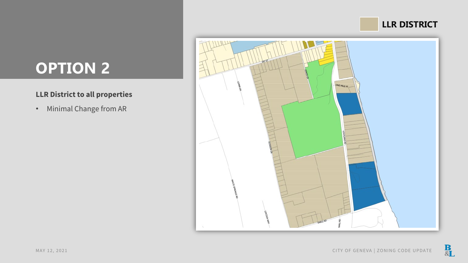# **LLR DISTRICT**



# **OPTION 2**

## **LLR District to all properties**

• Minimal Change from AR